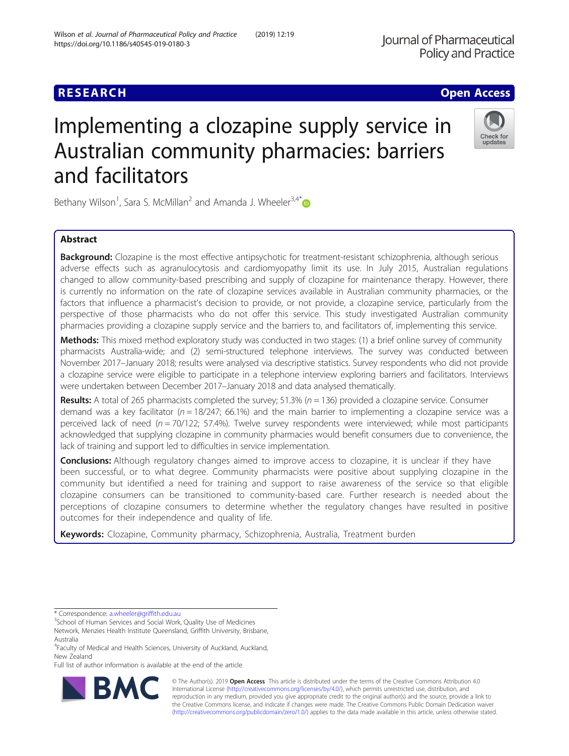# Implementing a clozapine supply service in Australian community pharmacies: barriers and facilitators

Bethany Wilson<sup>1</sup>, Sara S. McMillan<sup>2</sup> and Amanda J. Wheeler<sup>3,4[\\*](http://orcid.org/0000-0001-9755-674X)</sup>

# Abstract

**Background:** Clozapine is the most effective antipsychotic for treatment-resistant schizophrenia, although serious adverse effects such as agranulocytosis and cardiomyopathy limit its use. In July 2015, Australian regulations changed to allow community-based prescribing and supply of clozapine for maintenance therapy. However, there is currently no information on the rate of clozapine services available in Australian community pharmacies, or the factors that influence a pharmacist's decision to provide, or not provide, a clozapine service, particularly from the perspective of those pharmacists who do not offer this service. This study investigated Australian community pharmacies providing a clozapine supply service and the barriers to, and facilitators of, implementing this service.

Methods: This mixed method exploratory study was conducted in two stages: (1) a brief online survey of community pharmacists Australia-wide; and (2) semi-structured telephone interviews. The survey was conducted between November 2017–January 2018; results were analysed via descriptive statistics. Survey respondents who did not provide a clozapine service were eligible to participate in a telephone interview exploring barriers and facilitators. Interviews were undertaken between December 2017–January 2018 and data analysed thematically.

Results: A total of 265 pharmacists completed the survey; 51.3% ( $n = 136$ ) provided a clozapine service. Consumer demand was a key facilitator ( $n = 18/247$ ; 66.1%) and the main barrier to implementing a clozapine service was a perceived lack of need ( $n = 70/122$ ; 57.4%). Twelve survey respondents were interviewed; while most participants acknowledged that supplying clozapine in community pharmacies would benefit consumers due to convenience, the lack of training and support led to difficulties in service implementation.

**Conclusions:** Although regulatory changes aimed to improve access to clozapine, it is unclear if they have been successful, or to what degree. Community pharmacists were positive about supplying clozapine in the community but identified a need for training and support to raise awareness of the service so that eligible clozapine consumers can be transitioned to community-based care. Further research is needed about the perceptions of clozapine consumers to determine whether the regulatory changes have resulted in positive outcomes for their independence and quality of life.

Keywords: Clozapine, Community pharmacy, Schizophrenia, Australia, Treatment burden

\* Correspondence: [a.wheeler@griffith.edu.au](mailto:a.wheeler@griffith.edu.au) <sup>3</sup>

R.

<sup>3</sup>School of Human Services and Social Work, Quality Use of Medicines

Full list of author information is available at the end of the article

© The Author(s). 2019 **Open Access** This article is distributed under the terms of the Creative Commons Attribution 4.0 International License [\(http://creativecommons.org/licenses/by/4.0/](http://creativecommons.org/licenses/by/4.0/)), which permits unrestricted use, distribution, and reproduction in any medium, provided you give appropriate credit to the original author(s) and the source, provide a link to the Creative Commons license, and indicate if changes were made. The Creative Commons Public Domain Dedication waiver [\(http://creativecommons.org/publicdomain/zero/1.0/](http://creativecommons.org/publicdomain/zero/1.0/)) applies to the data made available in this article, unless otherwise stated.







Network, Menzies Health Institute Queensland, Griffith University, Brisbane, Australia

<sup>&</sup>lt;sup>4</sup> Faculty of Medical and Health Sciences, University of Auckland, Auckland, New Zealand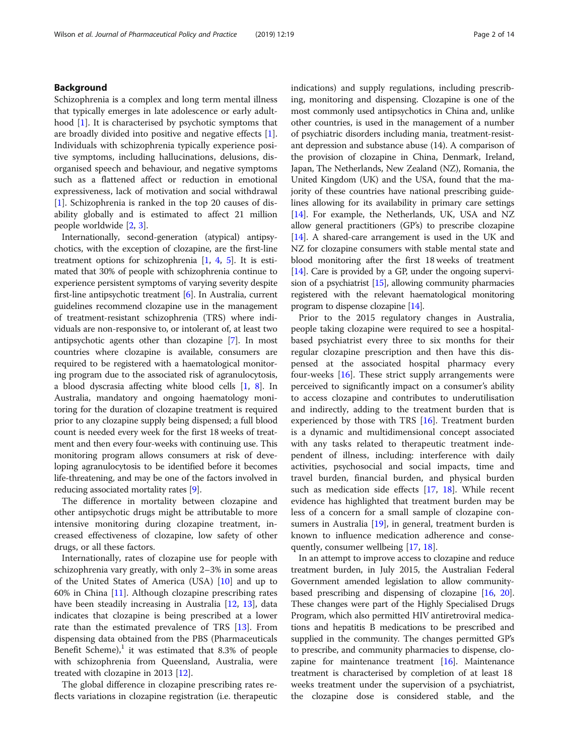# Background

Schizophrenia is a complex and long term mental illness that typically emerges in late adolescence or early adulthood [\[1\]](#page-12-0). It is characterised by psychotic symptoms that are broadly divided into positive and negative effects [\[1](#page-12-0)]. Individuals with schizophrenia typically experience positive symptoms, including hallucinations, delusions, disorganised speech and behaviour, and negative symptoms such as a flattened affect or reduction in emotional expressiveness, lack of motivation and social withdrawal [[1\]](#page-12-0). Schizophrenia is ranked in the top 20 causes of disability globally and is estimated to affect 21 million people worldwide [\[2,](#page-12-0) [3\]](#page-12-0).

Internationally, second-generation (atypical) antipsychotics, with the exception of clozapine, are the first-line treatment options for schizophrenia [\[1,](#page-12-0) [4](#page-12-0), [5\]](#page-12-0). It is estimated that 30% of people with schizophrenia continue to experience persistent symptoms of varying severity despite first-line antipsychotic treatment [[6\]](#page-12-0). In Australia, current guidelines recommend clozapine use in the management of treatment-resistant schizophrenia (TRS) where individuals are non-responsive to, or intolerant of, at least two antipsychotic agents other than clozapine [\[7](#page-12-0)]. In most countries where clozapine is available, consumers are required to be registered with a haematological monitoring program due to the associated risk of agranulocytosis, a blood dyscrasia affecting white blood cells [[1,](#page-12-0) [8\]](#page-12-0). In Australia, mandatory and ongoing haematology monitoring for the duration of clozapine treatment is required prior to any clozapine supply being dispensed; a full blood count is needed every week for the first 18 weeks of treatment and then every four-weeks with continuing use. This monitoring program allows consumers at risk of developing agranulocytosis to be identified before it becomes life-threatening, and may be one of the factors involved in reducing associated mortality rates [\[9\]](#page-12-0).

The difference in mortality between clozapine and other antipsychotic drugs might be attributable to more intensive monitoring during clozapine treatment, increased effectiveness of clozapine, low safety of other drugs, or all these factors.

Internationally, rates of clozapine use for people with schizophrenia vary greatly, with only 2–3% in some areas of the United States of America (USA) [[10\]](#page-12-0) and up to 60% in China [\[11](#page-12-0)]. Although clozapine prescribing rates have been steadily increasing in Australia [\[12](#page-12-0), [13](#page-12-0)], data indicates that clozapine is being prescribed at a lower rate than the estimated prevalence of TRS [[13](#page-12-0)]. From dispensing data obtained from the PBS (Pharmaceuticals Benefit Scheme), $1$  it was estimated that 8.3% of people with schizophrenia from Queensland, Australia, were treated with clozapine in 2013 [[12\]](#page-12-0).

The global difference in clozapine prescribing rates reflects variations in clozapine registration (i.e. therapeutic indications) and supply regulations, including prescribing, monitoring and dispensing. Clozapine is one of the most commonly used antipsychotics in China and, unlike other countries, is used in the management of a number of psychiatric disorders including mania, treatment-resistant depression and substance abuse (14). A comparison of the provision of clozapine in China, Denmark, Ireland, Japan, The Netherlands, New Zealand (NZ), Romania, the United Kingdom (UK) and the USA, found that the majority of these countries have national prescribing guidelines allowing for its availability in primary care settings [[14](#page-12-0)]. For example, the Netherlands, UK, USA and NZ allow general practitioners (GP's) to prescribe clozapine [[14](#page-12-0)]. A shared-care arrangement is used in the UK and NZ for clozapine consumers with stable mental state and blood monitoring after the first 18 weeks of treatment [[14](#page-12-0)]. Care is provided by a GP, under the ongoing supervision of a psychiatrist [\[15\]](#page-12-0), allowing community pharmacies registered with the relevant haematological monitoring program to dispense clozapine [\[14](#page-12-0)].

Prior to the 2015 regulatory changes in Australia, people taking clozapine were required to see a hospitalbased psychiatrist every three to six months for their regular clozapine prescription and then have this dispensed at the associated hospital pharmacy every four-weeks  $[16]$  $[16]$ . These strict supply arrangements were perceived to significantly impact on a consumer's ability to access clozapine and contributes to underutilisation and indirectly, adding to the treatment burden that is experienced by those with TRS [[16\]](#page-12-0). Treatment burden is a dynamic and multidimensional concept associated with any tasks related to therapeutic treatment independent of illness, including: interference with daily activities, psychosocial and social impacts, time and travel burden, financial burden, and physical burden such as medication side effects [[17](#page-12-0), [18](#page-12-0)]. While recent evidence has highlighted that treatment burden may be less of a concern for a small sample of clozapine con-sumers in Australia [[19\]](#page-12-0), in general, treatment burden is known to influence medication adherence and consequently, consumer wellbeing [\[17](#page-12-0), [18\]](#page-12-0).

In an attempt to improve access to clozapine and reduce treatment burden, in July 2015, the Australian Federal Government amended legislation to allow communitybased prescribing and dispensing of clozapine [\[16,](#page-12-0) [20](#page-12-0)]. These changes were part of the Highly Specialised Drugs Program, which also permitted HIV antiretroviral medications and hepatitis B medications to be prescribed and supplied in the community. The changes permitted GP's to prescribe, and community pharmacies to dispense, clo-zapine for maintenance treatment [\[16](#page-12-0)]. Maintenance treatment is characterised by completion of at least 18 weeks treatment under the supervision of a psychiatrist, the clozapine dose is considered stable, and the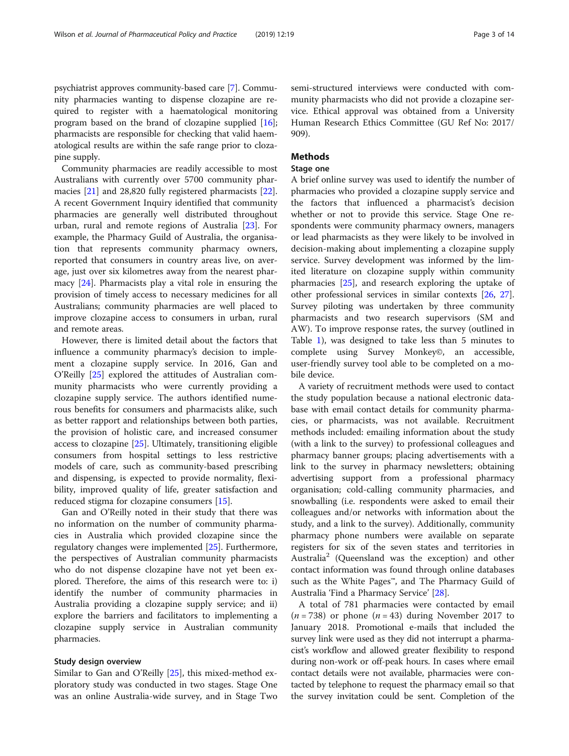psychiatrist approves community-based care [\[7\]](#page-12-0). Community pharmacies wanting to dispense clozapine are required to register with a haematological monitoring program based on the brand of clozapine supplied [[16](#page-12-0)]; pharmacists are responsible for checking that valid haematological results are within the safe range prior to clozapine supply.

Community pharmacies are readily accessible to most Australians with currently over 5700 community pharmacies [[21\]](#page-12-0) and 28,820 fully registered pharmacists [\[22](#page-12-0)]. A recent Government Inquiry identified that community pharmacies are generally well distributed throughout urban, rural and remote regions of Australia [[23\]](#page-12-0). For example, the Pharmacy Guild of Australia, the organisation that represents community pharmacy owners, reported that consumers in country areas live, on average, just over six kilometres away from the nearest pharmacy [\[24\]](#page-12-0). Pharmacists play a vital role in ensuring the provision of timely access to necessary medicines for all Australians; community pharmacies are well placed to improve clozapine access to consumers in urban, rural and remote areas.

However, there is limited detail about the factors that influence a community pharmacy's decision to implement a clozapine supply service. In 2016, Gan and O'Reilly [\[25](#page-12-0)] explored the attitudes of Australian community pharmacists who were currently providing a clozapine supply service. The authors identified numerous benefits for consumers and pharmacists alike, such as better rapport and relationships between both parties, the provision of holistic care, and increased consumer access to clozapine [[25\]](#page-12-0). Ultimately, transitioning eligible consumers from hospital settings to less restrictive models of care, such as community-based prescribing and dispensing, is expected to provide normality, flexibility, improved quality of life, greater satisfaction and reduced stigma for clozapine consumers [\[15](#page-12-0)].

Gan and O'Reilly noted in their study that there was no information on the number of community pharmacies in Australia which provided clozapine since the regulatory changes were implemented [\[25](#page-12-0)]. Furthermore, the perspectives of Australian community pharmacists who do not dispense clozapine have not yet been explored. Therefore, the aims of this research were to: i) identify the number of community pharmacies in Australia providing a clozapine supply service; and ii) explore the barriers and facilitators to implementing a clozapine supply service in Australian community pharmacies.

## Study design overview

Similar to Gan and O'Reilly [[25\]](#page-12-0), this mixed-method exploratory study was conducted in two stages. Stage One was an online Australia-wide survey, and in Stage Two semi-structured interviews were conducted with community pharmacists who did not provide a clozapine service. Ethical approval was obtained from a University Human Research Ethics Committee (GU Ref No: 2017/ 909).

# **Methods**

#### Stage one

A brief online survey was used to identify the number of pharmacies who provided a clozapine supply service and the factors that influenced a pharmacist's decision whether or not to provide this service. Stage One respondents were community pharmacy owners, managers or lead pharmacists as they were likely to be involved in decision-making about implementing a clozapine supply service. Survey development was informed by the limited literature on clozapine supply within community pharmacies [[25\]](#page-12-0), and research exploring the uptake of other professional services in similar contexts [[26,](#page-12-0) [27](#page-12-0)]. Survey piloting was undertaken by three community pharmacists and two research supervisors (SM and AW). To improve response rates, the survey (outlined in Table [1](#page-3-0)), was designed to take less than 5 minutes to complete using Survey Monkey©, an accessible, user-friendly survey tool able to be completed on a mobile device.

A variety of recruitment methods were used to contact the study population because a national electronic database with email contact details for community pharmacies, or pharmacists, was not available. Recruitment methods included: emailing information about the study (with a link to the survey) to professional colleagues and pharmacy banner groups; placing advertisements with a link to the survey in pharmacy newsletters; obtaining advertising support from a professional pharmacy organisation; cold-calling community pharmacies, and snowballing (i.e. respondents were asked to email their colleagues and/or networks with information about the study, and a link to the survey). Additionally, community pharmacy phone numbers were available on separate registers for six of the seven states and territories in Australia2 (Queensland was the exception) and other contact information was found through online databases such as the White Pages™, and The Pharmacy Guild of Australia 'Find a Pharmacy Service' [\[28](#page-12-0)].

A total of 781 pharmacies were contacted by email  $(n = 738)$  or phone  $(n = 43)$  during November 2017 to January 2018. Promotional e-mails that included the survey link were used as they did not interrupt a pharmacist's workflow and allowed greater flexibility to respond during non-work or off-peak hours. In cases where email contact details were not available, pharmacies were contacted by telephone to request the pharmacy email so that the survey invitation could be sent. Completion of the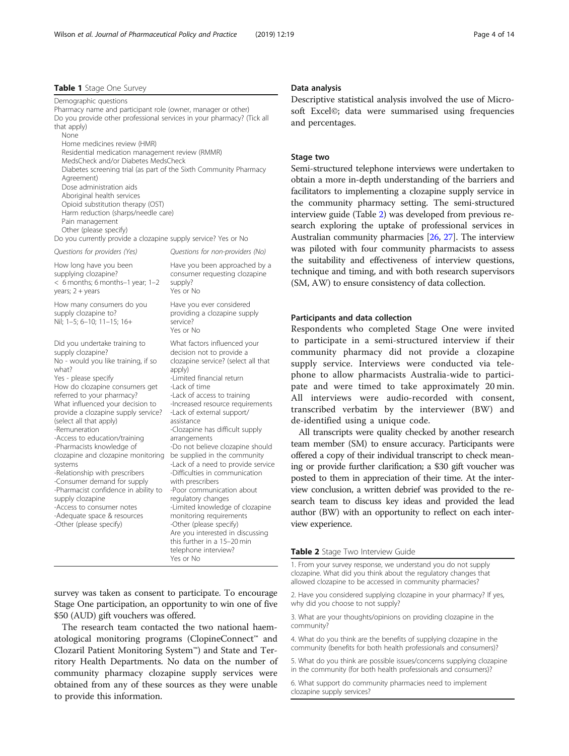## <span id="page-3-0"></span>Table 1 Stage One Survey

| Demographic questions                                                  |                                  |
|------------------------------------------------------------------------|----------------------------------|
| Pharmacy name and participant role (owner, manager or other)           |                                  |
| Do you provide other professional services in your pharmacy? (Tick all |                                  |
| that apply)                                                            |                                  |
| None                                                                   |                                  |
| Home medicines review (HMR)                                            |                                  |
| Residential medication management review (RMMR)                        |                                  |
| MedsCheck and/or Diabetes MedsCheck                                    |                                  |
| Diabetes screening trial (as part of the Sixth Community Pharmacy      |                                  |
| Agreement)                                                             |                                  |
| Dose administration aids                                               |                                  |
| Aboriginal health services                                             |                                  |
| Opioid substitution therapy (OST)                                      |                                  |
| Harm reduction (sharps/needle care)                                    |                                  |
| Pain management                                                        |                                  |
| Other (please specify)                                                 |                                  |
| Do you currently provide a clozapine supply service? Yes or No         |                                  |
| Questions for providers (Yes)                                          | Questions for non-providers (No) |
| How long have you been                                                 | Have you been approached by a    |

supplying clozapine?  $< 6$  months; 6 months–1 year; 1-2 years; 2 + years consumer requesting clozapine supply? Yes or No How many consumers do you supply clozapine to? Nil; 1–5; 6–10; 11–15; 16+ Have you ever considered providing a clozapine supply service? Yes or No Did you undertake training to supply clozapine? No - would you like training, if so what? Yes - please specify How do clozapine consumers get referred to your pharmacy? What influenced your decision to provide a clozapine supply service? (select all that apply) -Remuneration -Access to education/training -Pharmacists knowledge of clozapine and clozapine monitoring be supplied in the community systems apply) -Lack of time assistance

-Relationship with prescribers -Consumer demand for supply -Pharmacist confidence in ability to supply clozapine -Access to consumer notes -Adequate space & resources -Other (please specify)

What factors influenced your decision not to provide a clozapine service? (select all that -Limited financial return -Lack of access to training -Increased resource requirements -Lack of external support/ -Clozapine has difficult supply arrangements -Do not believe clozapine should -Lack of a need to provide service -Difficulties in communication with prescribers -Poor communication about regulatory changes -Limited knowledge of clozapine monitoring requirements -Other (please specify) Are you interested in discussing this further in a 15–20 min telephone interview?

survey was taken as consent to participate. To encourage Stage One participation, an opportunity to win one of five \$50 (AUD) gift vouchers was offered.

Yes or No

The research team contacted the two national haematological monitoring programs (ClopineConnect™ and Clozaril Patient Monitoring System™) and State and Territory Health Departments. No data on the number of community pharmacy clozapine supply services were obtained from any of these sources as they were unable to provide this information.

#### Data analysis

Descriptive statistical analysis involved the use of Microsoft Excel©; data were summarised using frequencies and percentages.

# Stage two

Semi-structured telephone interviews were undertaken to obtain a more in-depth understanding of the barriers and facilitators to implementing a clozapine supply service in the community pharmacy setting. The semi-structured interview guide (Table 2) was developed from previous research exploring the uptake of professional services in Australian community pharmacies [[26](#page-12-0), [27](#page-12-0)]. The interview was piloted with four community pharmacists to assess the suitability and effectiveness of interview questions, technique and timing, and with both research supervisors (SM, AW) to ensure consistency of data collection.

# Participants and data collection

Respondents who completed Stage One were invited to participate in a semi-structured interview if their community pharmacy did not provide a clozapine supply service. Interviews were conducted via telephone to allow pharmacists Australia-wide to participate and were timed to take approximately 20 min. All interviews were audio-recorded with consent, transcribed verbatim by the interviewer (BW) and de-identified using a unique code.

All transcripts were quality checked by another research team member (SM) to ensure accuracy. Participants were offered a copy of their individual transcript to check meaning or provide further clarification; a \$30 gift voucher was posted to them in appreciation of their time. At the interview conclusion, a written debrief was provided to the research team to discuss key ideas and provided the lead author (BW) with an opportunity to reflect on each interview experience.

#### Table 2 Stage Two Interview Guide

1. From your survey response, we understand you do not supply clozapine. What did you think about the regulatory changes that allowed clozapine to be accessed in community pharmacies?

2. Have you considered supplying clozapine in your pharmacy? If yes, why did you choose to not supply?

3. What are your thoughts/opinions on providing clozapine in the community?

4. What do you think are the benefits of supplying clozapine in the community (benefits for both health professionals and consumers)?

5. What do you think are possible issues/concerns supplying clozapine in the community (for both health professionals and consumers)?

6. What support do community pharmacies need to implement clozapine supply services?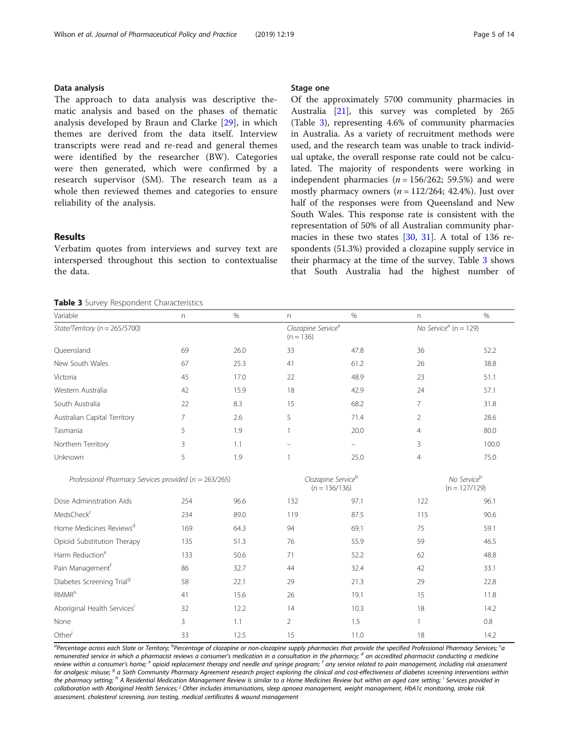# <span id="page-4-0"></span>Data analysis

The approach to data analysis was descriptive thematic analysis and based on the phases of thematic analysis developed by Braun and Clarke [\[29](#page-12-0)], in which themes are derived from the data itself. Interview transcripts were read and re-read and general themes were identified by the researcher (BW). Categories were then generated, which were confirmed by a research supervisor (SM). The research team as a whole then reviewed themes and categories to ensure reliability of the analysis.

# Results

Verbatim quotes from interviews and survey text are interspersed throughout this section to contextualise the data.

Table 3 Survey Respondent Characteristics

# Stage one

Of the approximately 5700 community pharmacies in Australia [[21](#page-12-0)], this survey was completed by 265 (Table 3), representing 4.6% of community pharmacies in Australia. As a variety of recruitment methods were used, and the research team was unable to track individual uptake, the overall response rate could not be calculated. The majority of respondents were working in independent pharmacies  $(n = 156/262; 59.5%)$  and were mostly pharmacy owners  $(n = 112/264; 42.4\%)$ . Just over half of the responses were from Queensland and New South Wales. This response rate is consistent with the representation of 50% of all Australian community pharmacies in these two states [[30,](#page-12-0) [31](#page-12-0)]. A total of 136 respondents (51.3%) provided a clozapine supply service in their pharmacy at the time of the survey. Table 3 shows that South Australia had the highest number of

| Variable                                              | $\mathsf{n}$   | $\%$ | n                 | $\%$                                              | n.             | $\%$                                       |  |
|-------------------------------------------------------|----------------|------|-------------------|---------------------------------------------------|----------------|--------------------------------------------|--|
| State/Territory ( $n = 265/5700$ )                    |                |      | $(n = 136)$       | Clozapine Service <sup>a</sup>                    |                | No Service <sup>a</sup> ( $n = 129$ )      |  |
| Queensland                                            | 69             | 26.0 | 33                | 47.8                                              | 36             | 52.2                                       |  |
| New South Wales                                       | 67             | 25.3 | 41                | 61.2                                              | 26             | 38.8                                       |  |
| Victoria                                              | 45             | 17.0 | 22                | 48.9                                              | 23             | 51.1                                       |  |
| Western Australia                                     | 42             | 15.9 | 18                | 42.9                                              | 24             | 57.1                                       |  |
| South Australia                                       | 22             | 8.3  | 15                | 68.2                                              | $\overline{7}$ | 31.8                                       |  |
| Australian Capital Territory                          | $\overline{7}$ | 2.6  | 5                 | 71.4                                              | $\overline{2}$ | 28.6                                       |  |
| Tasmania                                              | 5              | 1.9  | 1                 | 20.0                                              | $\overline{4}$ | 80.0                                       |  |
| Northern Territory                                    | 3              | 1.1  | $\qquad \qquad -$ | $\overline{\phantom{a}}$                          | 3              | 100.0                                      |  |
| Unknown                                               | 5              | 1.9  | 1                 | 25.0                                              | $\overline{4}$ | 75.0                                       |  |
| Professional Pharmacy Services provided (n = 263/265) |                |      |                   | Clozapine Service <sup>b</sup><br>$(n = 136/136)$ |                | No Service <sup>b</sup><br>$(n = 127/129)$ |  |
| Dose Administration Aids                              | 254            | 96.6 | 132               | 97.1                                              | 122            | 96.1                                       |  |
| MedsCheck <sup>c</sup>                                | 234            | 89.0 | 119               | 87.5                                              | 115            | 90.6                                       |  |
| Home Medicines Reviews <sup>d</sup>                   | 169            | 64.3 | 94                | 69.1                                              | 75             | 59.1                                       |  |
| Opioid Substitution Therapy                           | 135            | 51.3 | 76                | 55.9                                              | 59             | 46.5                                       |  |
| Harm Reduction <sup>e</sup>                           | 133            | 50.6 | 71                | 52.2                                              | 62             | 48.8                                       |  |
| Pain Management <sup>†</sup>                          | 86             | 32.7 | 44                | 32.4                                              | 42             | 33.1                                       |  |
| Diabetes Screening Trial <sup>9</sup>                 | 58             | 22.1 | 29                | 21.3                                              | 29             | 22.8                                       |  |
| <b>RMMR</b> <sup>h</sup>                              | 41             | 15.6 | 26                | 19.1                                              | 15             | 11.8                                       |  |
| Aboriginal Health Services <sup>i</sup>               | 32             | 12.2 | 14                | 10.3                                              | 18             | 14.2                                       |  |
| None                                                  | 3              | 1.1  | $\overline{2}$    | 1.5                                               | $\mathbf{1}$   | 0.8                                        |  |
| Other                                                 | 33             | 12.5 | 15                | 11.0                                              | 18             | 14.2                                       |  |

<sup>a</sup>Percentage across each State or Territory; <sup>b</sup>Percentage of clozapine or non-clozapine supply pharmacies that provide the specified Professional Pharmacy Services; <sup>c</sup>a remunerated service in which a pharmacist reviews a consumer's medication in a consultation in the pharmacy; <sup>d</sup> an accredited pharmacist conducting a medicine review within a consumer's home; <sup>e</sup> opioid replacement therapy and needle and syringe program; <sup>†</sup> any service related to pain management, including risk assessment for analgesic misuse; <sup>g</sup> a Sixth Community Pharmacy Agreement research project exploring the clinical and cost-effectiveness of diabetes screening interventions within the pharmacy setting; <sup>h</sup> A Residential Medication Management Review is similar to a Home Medicines Review but within an aged care setting; <sup>i</sup> Services provided in collaboration with Aboriginal Health Services; <sup>j</sup> Other includes immunisations, sleep apnoea management, weight management, HbA1c monitoring, stroke risk assessment, cholesterol screening, iron testing, medical certificates & wound management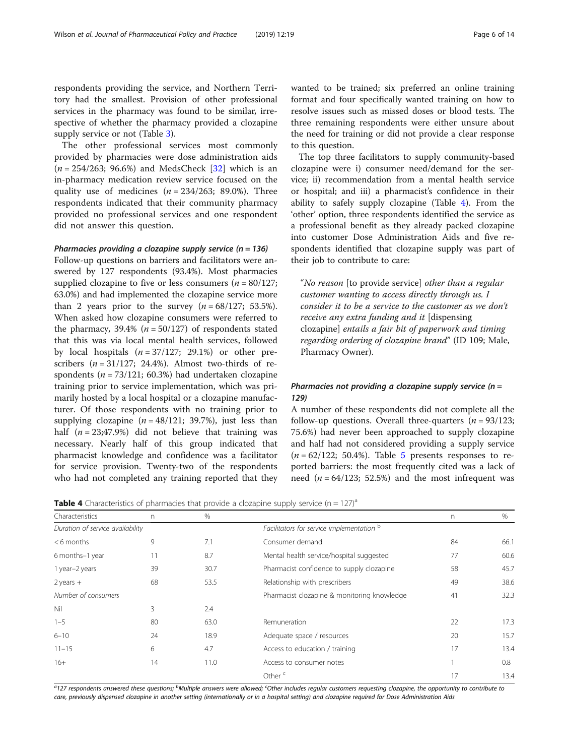respondents providing the service, and Northern Territory had the smallest. Provision of other professional services in the pharmacy was found to be similar, irrespective of whether the pharmacy provided a clozapine supply service or not (Table [3\)](#page-4-0).

The other professional services most commonly provided by pharmacies were dose administration aids  $(n = 254/263; 96.6%)$  and MedsCheck  $[32]$  $[32]$  which is an in-pharmacy medication review service focused on the quality use of medicines  $(n = 234/263; 89.0\%)$ . Three respondents indicated that their community pharmacy provided no professional services and one respondent did not answer this question.

## Pharmacies providing a clozapine supply service ( $n = 136$ )

Follow-up questions on barriers and facilitators were answered by 127 respondents (93.4%). Most pharmacies supplied clozapine to five or less consumers ( $n = 80/127$ ; 63.0%) and had implemented the clozapine service more than 2 years prior to the survey  $(n = 68/127; 53.5\%).$ When asked how clozapine consumers were referred to the pharmacy, 39.4% ( $n = 50/127$ ) of respondents stated that this was via local mental health services, followed by local hospitals  $(n = 37/127; 29.1\%)$  or other prescribers  $(n = 31/127; 24.4\%)$ . Almost two-thirds of respondents ( $n = 73/121$ ; 60.3%) had undertaken clozapine training prior to service implementation, which was primarily hosted by a local hospital or a clozapine manufacturer. Of those respondents with no training prior to supplying clozapine  $(n = 48/121; 39.7%)$ , just less than half  $(n = 23,47.9%)$  did not believe that training was necessary. Nearly half of this group indicated that pharmacist knowledge and confidence was a facilitator for service provision. Twenty-two of the respondents who had not completed any training reported that they wanted to be trained; six preferred an online training format and four specifically wanted training on how to resolve issues such as missed doses or blood tests. The three remaining respondents were either unsure about the need for training or did not provide a clear response to this question.

The top three facilitators to supply community-based clozapine were i) consumer need/demand for the service; ii) recommendation from a mental health service or hospital; and iii) a pharmacist's confidence in their ability to safely supply clozapine (Table 4). From the 'other' option, three respondents identified the service as a professional benefit as they already packed clozapine into customer Dose Administration Aids and five respondents identified that clozapine supply was part of their job to contribute to care:

"No reason [to provide service] other than a regular customer wanting to access directly through us. I consider it to be a service to the customer as we don't receive any extra funding and it [dispensing clozapine] entails a fair bit of paperwork and timing regarding ordering of clozapine brand" (ID 109; Male, Pharmacy Owner).

# Pharmacies not providing a clozapine supply service ( $n =$ 129)

A number of these respondents did not complete all the follow-up questions. Overall three-quarters  $(n = 93/123;$ 75.6%) had never been approached to supply clozapine and half had not considered providing a supply service  $(n = 62/122; 50.4\%)$  $(n = 62/122; 50.4\%)$  $(n = 62/122; 50.4\%)$ . Table 5 presents responses to reported barriers: the most frequently cited was a lack of need  $(n = 64/123; 52.5%)$  and the most infrequent was

**Table 4** Characteristics of pharmacies that provide a clozapine supply service  $(n = 127)^{a}$ 

| Characteristics                  | n. | $\%$ |                                             | $\Gamma$ | %    |
|----------------------------------|----|------|---------------------------------------------|----------|------|
| Duration of service availability |    |      | Facilitators for service implementation b   |          |      |
| $< 6$ months                     | 9  | 7.1  | Consumer demand                             | 84       | 66.1 |
| 6 months-1 year                  | 11 | 8.7  | Mental health service/hospital suggested    | 77       | 60.6 |
| 1 year-2 years                   | 39 | 30.7 | Pharmacist confidence to supply clozapine   | 58       | 45.7 |
| $2$ years $+$                    | 68 | 53.5 | Relationship with prescribers               | 49       | 38.6 |
| Number of consumers              |    |      | Pharmacist clozapine & monitoring knowledge | 41       | 32.3 |
| Nil                              | 3  | 2.4  |                                             |          |      |
| $1 - 5$                          | 80 | 63.0 | Remuneration                                | 22       | 17.3 |
| $6 - 10$                         | 24 | 18.9 | Adequate space / resources                  | 20       | 15.7 |
| $11 - 15$                        | 6  | 4.7  | Access to education / training              | 17       | 13.4 |
| $16+$                            | 14 | 11.0 | Access to consumer notes                    |          | 0.8  |
|                                  |    |      | Other <sup>c</sup>                          |          | 13.4 |

<sup>a</sup>127 respondents answered these questions; <sup>b</sup>Multiple answers were allowed; <sup>c</sup>Other includes regular customers requesting clozapine, the opportunity to contribute to care, previously dispensed clozapine in another setting (internationally or in a hospital setting) and clozapine required for Dose Administration Aids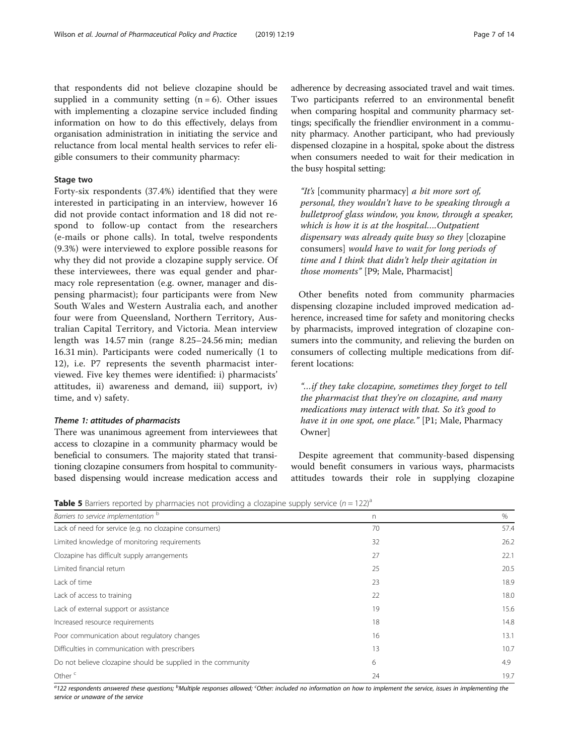<span id="page-6-0"></span>that respondents did not believe clozapine should be supplied in a community setting  $(n = 6)$ . Other issues with implementing a clozapine service included finding information on how to do this effectively, delays from organisation administration in initiating the service and reluctance from local mental health services to refer eligible consumers to their community pharmacy:

## Stage two

Forty-six respondents (37.4%) identified that they were interested in participating in an interview, however 16 did not provide contact information and 18 did not respond to follow-up contact from the researchers (e-mails or phone calls). In total, twelve respondents (9.3%) were interviewed to explore possible reasons for why they did not provide a clozapine supply service. Of these interviewees, there was equal gender and pharmacy role representation (e.g. owner, manager and dispensing pharmacist); four participants were from New South Wales and Western Australia each, and another four were from Queensland, Northern Territory, Australian Capital Territory, and Victoria. Mean interview length was 14.57 min (range 8.25–24.56 min; median 16.31 min). Participants were coded numerically (1 to 12), i.e. P7 represents the seventh pharmacist interviewed. Five key themes were identified: i) pharmacists' attitudes, ii) awareness and demand, iii) support, iv) time, and v) safety.

# Theme 1: attitudes of pharmacists

There was unanimous agreement from interviewees that access to clozapine in a community pharmacy would be beneficial to consumers. The majority stated that transitioning clozapine consumers from hospital to communitybased dispensing would increase medication access and

adherence by decreasing associated travel and wait times. Two participants referred to an environmental benefit when comparing hospital and community pharmacy settings; specifically the friendlier environment in a community pharmacy. Another participant, who had previously dispensed clozapine in a hospital, spoke about the distress when consumers needed to wait for their medication in the busy hospital setting:

"It's [community pharmacy] *a bit more sort of,* personal, they wouldn't have to be speaking through a bulletproof glass window, you know, through a speaker, which is how it is at the hospital….Outpatient dispensary was already quite busy so they [clozapine consumers] would have to wait for long periods of time and I think that didn't help their agitation in those moments" [P9; Male, Pharmacist]

Other benefits noted from community pharmacies dispensing clozapine included improved medication adherence, increased time for safety and monitoring checks by pharmacists, improved integration of clozapine consumers into the community, and relieving the burden on consumers of collecting multiple medications from different locations:

"…if they take clozapine, sometimes they forget to tell the pharmacist that they're on clozapine, and many medications may interact with that. So it's good to have it in one spot, one place." [P1; Male, Pharmacy Owner]

Despite agreement that community-based dispensing would benefit consumers in various ways, pharmacists attitudes towards their role in supplying clozapine

**Table 5** Barriers reported by pharmacies not providing a clozapine supply service  $(n = 122)^{a}$ 

| Barriers to service implementation b                         | n  | %    |
|--------------------------------------------------------------|----|------|
| Lack of need for service (e.g. no clozapine consumers)       | 70 | 57.4 |
| Limited knowledge of monitoring requirements                 | 32 | 26.2 |
| Clozapine has difficult supply arrangements                  | 27 | 22.1 |
| Limited financial return                                     | 25 | 20.5 |
| Lack of time                                                 | 23 | 18.9 |
| Lack of access to training                                   | 22 | 18.0 |
| Lack of external support or assistance                       | 19 | 15.6 |
| Increased resource requirements                              | 18 | 14.8 |
| Poor communication about regulatory changes                  | 16 | 13.1 |
| Difficulties in communication with prescribers               | 13 | 10.7 |
| Do not believe clozapine should be supplied in the community | 6  | 4.9  |
| Other <sup>c</sup>                                           | 24 | 19.7 |

 $^a$ 122 respondents answered these questions;  $^b$ Multiple responses allowed;  $^c$ Other: included no information on how to implement the service, issues in implementing the service or unaware of the service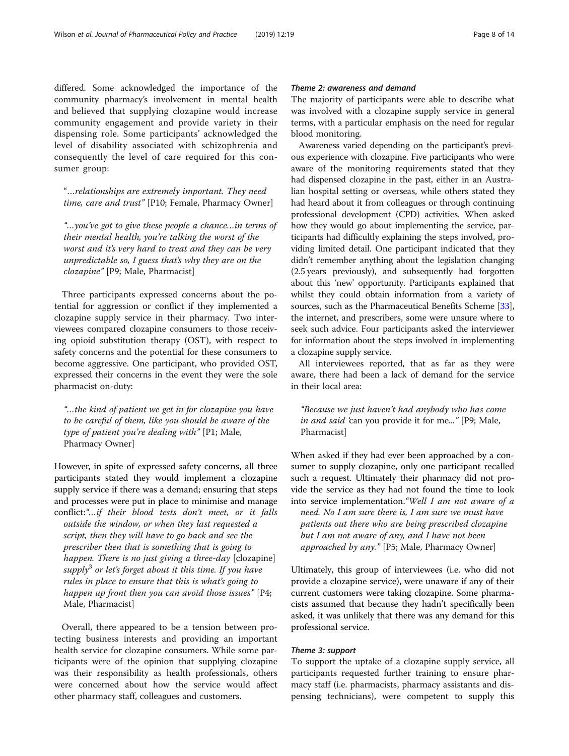differed. Some acknowledged the importance of the community pharmacy's involvement in mental health and believed that supplying clozapine would increase community engagement and provide variety in their dispensing role. Some participants' acknowledged the level of disability associated with schizophrenia and consequently the level of care required for this consumer group:

"…relationships are extremely important. They need time, care and trust" [P10; Female, Pharmacy Owner]

"…you've got to give these people a chance…in terms of their mental health, you're talking the worst of the worst and it's very hard to treat and they can be very unpredictable so, I guess that's why they are on the clozapine" [P9; Male, Pharmacist]

Three participants expressed concerns about the potential for aggression or conflict if they implemented a clozapine supply service in their pharmacy. Two interviewees compared clozapine consumers to those receiving opioid substitution therapy (OST), with respect to safety concerns and the potential for these consumers to become aggressive. One participant, who provided OST, expressed their concerns in the event they were the sole pharmacist on-duty:

"…the kind of patient we get in for clozapine you have to be careful of them, like you should be aware of the type of patient you're dealing with" [P1; Male, Pharmacy Owner]

However, in spite of expressed safety concerns, all three participants stated they would implement a clozapine supply service if there was a demand; ensuring that steps and processes were put in place to minimise and manage conflict:"…if their blood tests don't meet, or it falls outside the window, or when they last requested a script, then they will have to go back and see the prescriber then that is something that is going to happen. There is no just giving a three-day [clozapine] supply<sup>3</sup> or let's forget about it this time. If you have rules in place to ensure that this is what's going to happen up front then you can avoid those issues" [P4; Male, Pharmacist]

Overall, there appeared to be a tension between protecting business interests and providing an important health service for clozapine consumers. While some participants were of the opinion that supplying clozapine was their responsibility as health professionals, others were concerned about how the service would affect other pharmacy staff, colleagues and customers.

# Theme 2: awareness and demand

The majority of participants were able to describe what was involved with a clozapine supply service in general terms, with a particular emphasis on the need for regular blood monitoring.

Awareness varied depending on the participant's previous experience with clozapine. Five participants who were aware of the monitoring requirements stated that they had dispensed clozapine in the past, either in an Australian hospital setting or overseas, while others stated they had heard about it from colleagues or through continuing professional development (CPD) activities. When asked how they would go about implementing the service, participants had difficultly explaining the steps involved, providing limited detail. One participant indicated that they didn't remember anything about the legislation changing (2.5 years previously), and subsequently had forgotten about this 'new' opportunity. Participants explained that whilst they could obtain information from a variety of sources, such as the Pharmaceutical Benefits Scheme [[33](#page-13-0)], the internet, and prescribers, some were unsure where to seek such advice. Four participants asked the interviewer for information about the steps involved in implementing a clozapine supply service.

All interviewees reported, that as far as they were aware, there had been a lack of demand for the service in their local area:

"Because we just haven't had anybody who has come in and said 'can you provide it for me..." [P9; Male, Pharmacist]

When asked if they had ever been approached by a consumer to supply clozapine, only one participant recalled such a request. Ultimately their pharmacy did not provide the service as they had not found the time to look into service implementation."Well I am not aware of a need. No I am sure there is, I am sure we must have patients out there who are being prescribed clozapine but I am not aware of any, and I have not been approached by any." [P5; Male, Pharmacy Owner]

Ultimately, this group of interviewees (i.e. who did not provide a clozapine service), were unaware if any of their current customers were taking clozapine. Some pharmacists assumed that because they hadn't specifically been asked, it was unlikely that there was any demand for this professional service.

# Theme 3: support

To support the uptake of a clozapine supply service, all participants requested further training to ensure pharmacy staff (i.e. pharmacists, pharmacy assistants and dispensing technicians), were competent to supply this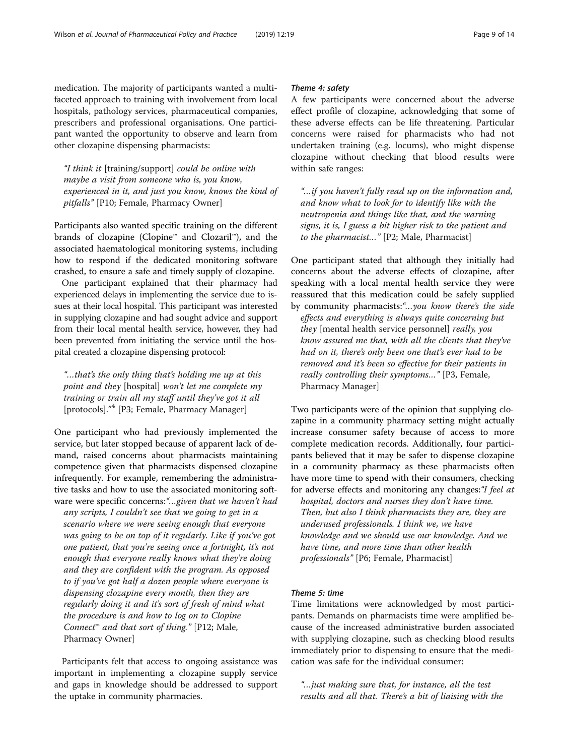medication. The majority of participants wanted a multifaceted approach to training with involvement from local hospitals, pathology services, pharmaceutical companies, prescribers and professional organisations. One participant wanted the opportunity to observe and learn from other clozapine dispensing pharmacists:

"I think it [training/support] could be online with maybe a visit from someone who is, you know, experienced in it, and just you know, knows the kind of pitfalls" [P10; Female, Pharmacy Owner]

Participants also wanted specific training on the different brands of clozapine (Clopine™ and Clozaril™), and the associated haematological monitoring systems, including how to respond if the dedicated monitoring software crashed, to ensure a safe and timely supply of clozapine.

One participant explained that their pharmacy had experienced delays in implementing the service due to issues at their local hospital. This participant was interested in supplying clozapine and had sought advice and support from their local mental health service, however, they had been prevented from initiating the service until the hospital created a clozapine dispensing protocol:

"…that's the only thing that's holding me up at this point and they [hospital] won't let me complete my training or train all my staff until they've got it all [protocols]." <sup>4</sup> [P3; Female, Pharmacy Manager]

One participant who had previously implemented the service, but later stopped because of apparent lack of demand, raised concerns about pharmacists maintaining competence given that pharmacists dispensed clozapine infrequently. For example, remembering the administrative tasks and how to use the associated monitoring software were specific concerns:"...given that we haven't had any scripts, I couldn't see that we going to get in a scenario where we were seeing enough that everyone was going to be on top of it regularly. Like if you've got one patient, that you're seeing once a fortnight, it's not enough that everyone really knows what they're doing and they are confident with the program. As opposed to if you've got half a dozen people where everyone is dispensing clozapine every month, then they are regularly doing it and it's sort of fresh of mind what the procedure is and how to log on to Clopine Connect<sup>™</sup> and that sort of thing." [P12; Male, Pharmacy Owner]

Participants felt that access to ongoing assistance was important in implementing a clozapine supply service and gaps in knowledge should be addressed to support the uptake in community pharmacies.

# Theme 4: safety

A few participants were concerned about the adverse effect profile of clozapine, acknowledging that some of these adverse effects can be life threatening. Particular concerns were raised for pharmacists who had not undertaken training (e.g. locums), who might dispense clozapine without checking that blood results were within safe ranges:

"…if you haven't fully read up on the information and, and know what to look for to identify like with the neutropenia and things like that, and the warning signs, it is, I guess a bit higher risk to the patient and to the pharmacist..." [P2; Male, Pharmacist]

One participant stated that although they initially had concerns about the adverse effects of clozapine, after speaking with a local mental health service they were reassured that this medication could be safely supplied by community pharmacists:"…you know there's the side effects and everything is always quite concerning but they [mental health service personnel] really, you know assured me that, with all the clients that they've had on it, there's only been one that's ever had to be removed and it's been so effective for their patients in really controlling their symptoms…" [P3, Female, Pharmacy Manager]

Two participants were of the opinion that supplying clozapine in a community pharmacy setting might actually increase consumer safety because of access to more complete medication records. Additionally, four participants believed that it may be safer to dispense clozapine in a community pharmacy as these pharmacists often have more time to spend with their consumers, checking for adverse effects and monitoring any changes:"I feel at

hospital, doctors and nurses they don't have time. Then, but also I think pharmacists they are, they are underused professionals. I think we, we have knowledge and we should use our knowledge. And we have time, and more time than other health professionals" [P6; Female, Pharmacist]

# Theme 5: time

Time limitations were acknowledged by most participants. Demands on pharmacists time were amplified because of the increased administrative burden associated with supplying clozapine, such as checking blood results immediately prior to dispensing to ensure that the medication was safe for the individual consumer:

"…just making sure that, for instance, all the test results and all that. There's a bit of liaising with the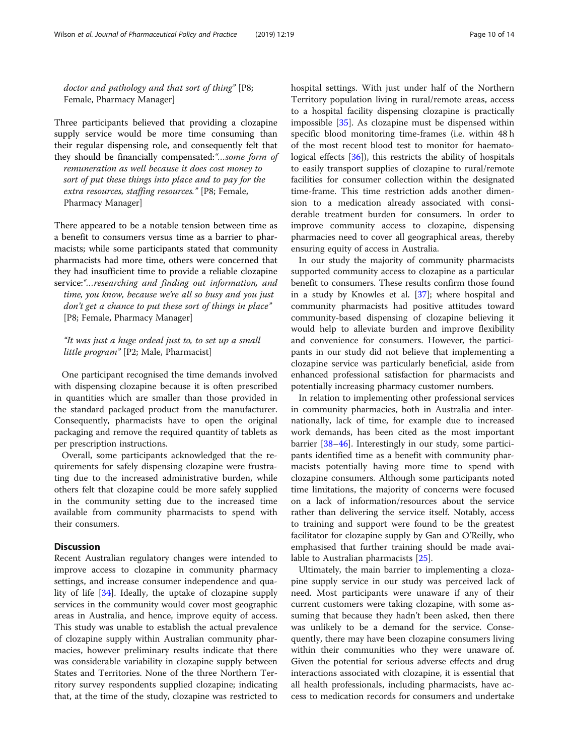doctor and pathology and that sort of thing" [P8; Female, Pharmacy Manager]

Three participants believed that providing a clozapine supply service would be more time consuming than their regular dispensing role, and consequently felt that they should be financially compensated:"…some form of remuneration as well because it does cost money to sort of put these things into place and to pay for the extra resources, staffing resources." [P8; Female, Pharmacy Manager]

There appeared to be a notable tension between time as a benefit to consumers versus time as a barrier to pharmacists; while some participants stated that community pharmacists had more time, others were concerned that they had insufficient time to provide a reliable clozapine service:"…researching and finding out information, and time, you know, because we're all so busy and you just don't get a chance to put these sort of things in place" [P8; Female, Pharmacy Manager]

"It was just a huge ordeal just to, to set up a small little program" [P2; Male, Pharmacist]

One participant recognised the time demands involved with dispensing clozapine because it is often prescribed in quantities which are smaller than those provided in the standard packaged product from the manufacturer. Consequently, pharmacists have to open the original packaging and remove the required quantity of tablets as per prescription instructions.

Overall, some participants acknowledged that the requirements for safely dispensing clozapine were frustrating due to the increased administrative burden, while others felt that clozapine could be more safely supplied in the community setting due to the increased time available from community pharmacists to spend with their consumers.

# **Discussion**

Recent Australian regulatory changes were intended to improve access to clozapine in community pharmacy settings, and increase consumer independence and quality of life [\[34](#page-13-0)]. Ideally, the uptake of clozapine supply services in the community would cover most geographic areas in Australia, and hence, improve equity of access. This study was unable to establish the actual prevalence of clozapine supply within Australian community pharmacies, however preliminary results indicate that there was considerable variability in clozapine supply between States and Territories. None of the three Northern Territory survey respondents supplied clozapine; indicating that, at the time of the study, clozapine was restricted to hospital settings. With just under half of the Northern Territory population living in rural/remote areas, access to a hospital facility dispensing clozapine is practically impossible [\[35\]](#page-13-0). As clozapine must be dispensed within specific blood monitoring time-frames (i.e. within 48 h of the most recent blood test to monitor for haematological effects [[36\]](#page-13-0)), this restricts the ability of hospitals to easily transport supplies of clozapine to rural/remote facilities for consumer collection within the designated time-frame. This time restriction adds another dimension to a medication already associated with considerable treatment burden for consumers. In order to improve community access to clozapine, dispensing pharmacies need to cover all geographical areas, thereby ensuring equity of access in Australia.

In our study the majority of community pharmacists supported community access to clozapine as a particular benefit to consumers. These results confirm those found in a study by Knowles et al. [\[37\]](#page-13-0); where hospital and community pharmacists had positive attitudes toward community-based dispensing of clozapine believing it would help to alleviate burden and improve flexibility and convenience for consumers. However, the participants in our study did not believe that implementing a clozapine service was particularly beneficial, aside from enhanced professional satisfaction for pharmacists and potentially increasing pharmacy customer numbers.

In relation to implementing other professional services in community pharmacies, both in Australia and internationally, lack of time, for example due to increased work demands, has been cited as the most important barrier [[38](#page-13-0)–[46](#page-13-0)]. Interestingly in our study, some participants identified time as a benefit with community pharmacists potentially having more time to spend with clozapine consumers. Although some participants noted time limitations, the majority of concerns were focused on a lack of information/resources about the service rather than delivering the service itself. Notably, access to training and support were found to be the greatest facilitator for clozapine supply by Gan and O'Reilly, who emphasised that further training should be made available to Australian pharmacists [\[25\]](#page-12-0).

Ultimately, the main barrier to implementing a clozapine supply service in our study was perceived lack of need. Most participants were unaware if any of their current customers were taking clozapine, with some assuming that because they hadn't been asked, then there was unlikely to be a demand for the service. Consequently, there may have been clozapine consumers living within their communities who they were unaware of. Given the potential for serious adverse effects and drug interactions associated with clozapine, it is essential that all health professionals, including pharmacists, have access to medication records for consumers and undertake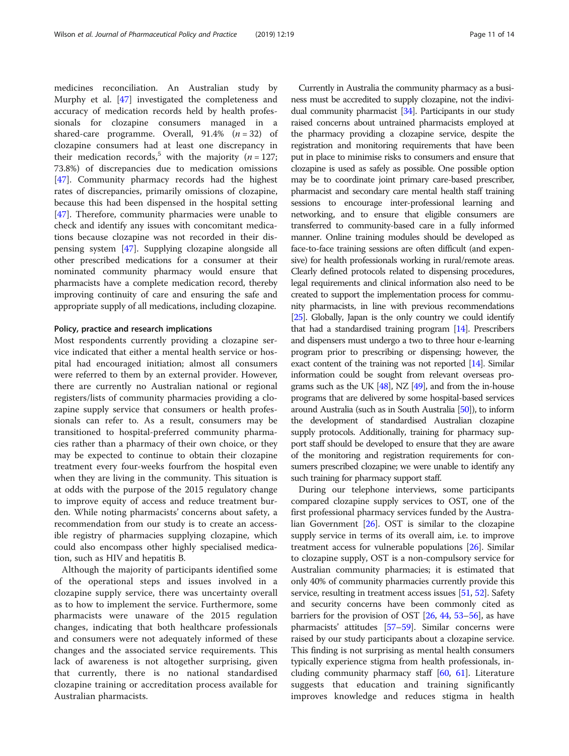medicines reconciliation. An Australian study by Murphy et al. [\[47](#page-13-0)] investigated the completeness and accuracy of medication records held by health professionals for clozapine consumers managed in a shared-care programme. Overall,  $91.4\%$   $(n = 32)$  of clozapine consumers had at least one discrepancy in their medication records,<sup>5</sup> with the majority  $(n = 127)$ ; 73.8%) of discrepancies due to medication omissions [[47\]](#page-13-0). Community pharmacy records had the highest rates of discrepancies, primarily omissions of clozapine, because this had been dispensed in the hospital setting [[47\]](#page-13-0). Therefore, community pharmacies were unable to check and identify any issues with concomitant medications because clozapine was not recorded in their dispensing system [\[47\]](#page-13-0). Supplying clozapine alongside all other prescribed medications for a consumer at their nominated community pharmacy would ensure that pharmacists have a complete medication record, thereby improving continuity of care and ensuring the safe and appropriate supply of all medications, including clozapine.

# Policy, practice and research implications

Most respondents currently providing a clozapine service indicated that either a mental health service or hospital had encouraged initiation; almost all consumers were referred to them by an external provider. However, there are currently no Australian national or regional registers/lists of community pharmacies providing a clozapine supply service that consumers or health professionals can refer to. As a result, consumers may be transitioned to hospital-preferred community pharmacies rather than a pharmacy of their own choice, or they may be expected to continue to obtain their clozapine treatment every four-weeks fourfrom the hospital even when they are living in the community. This situation is at odds with the purpose of the 2015 regulatory change to improve equity of access and reduce treatment burden. While noting pharmacists' concerns about safety, a recommendation from our study is to create an accessible registry of pharmacies supplying clozapine, which could also encompass other highly specialised medication, such as HIV and hepatitis B.

Although the majority of participants identified some of the operational steps and issues involved in a clozapine supply service, there was uncertainty overall as to how to implement the service. Furthermore, some pharmacists were unaware of the 2015 regulation changes, indicating that both healthcare professionals and consumers were not adequately informed of these changes and the associated service requirements. This lack of awareness is not altogether surprising, given that currently, there is no national standardised clozapine training or accreditation process available for Australian pharmacists.

Currently in Australia the community pharmacy as a business must be accredited to supply clozapine, not the individual community pharmacist [\[34\]](#page-13-0). Participants in our study raised concerns about untrained pharmacists employed at the pharmacy providing a clozapine service, despite the registration and monitoring requirements that have been put in place to minimise risks to consumers and ensure that clozapine is used as safely as possible. One possible option may be to coordinate joint primary care-based prescriber, pharmacist and secondary care mental health staff training sessions to encourage inter-professional learning and networking, and to ensure that eligible consumers are transferred to community-based care in a fully informed manner. Online training modules should be developed as face-to-face training sessions are often difficult (and expensive) for health professionals working in rural/remote areas. Clearly defined protocols related to dispensing procedures, legal requirements and clinical information also need to be created to support the implementation process for community pharmacists, in line with previous recommendations [[25\]](#page-12-0). Globally, Japan is the only country we could identify that had a standardised training program [[14](#page-12-0)]. Prescribers and dispensers must undergo a two to three hour e-learning program prior to prescribing or dispensing; however, the exact content of the training was not reported [[14\]](#page-12-0). Similar information could be sought from relevant overseas pro-grams such as the UK [\[48](#page-13-0)], NZ [\[49\]](#page-13-0), and from the in-house programs that are delivered by some hospital-based services around Australia (such as in South Australia [\[50](#page-13-0)]), to inform the development of standardised Australian clozapine supply protocols. Additionally, training for pharmacy support staff should be developed to ensure that they are aware of the monitoring and registration requirements for consumers prescribed clozapine; we were unable to identify any such training for pharmacy support staff.

During our telephone interviews, some participants compared clozapine supply services to OST, one of the first professional pharmacy services funded by the Australian Government [\[26\]](#page-12-0). OST is similar to the clozapine supply service in terms of its overall aim, i.e. to improve treatment access for vulnerable populations [\[26](#page-12-0)]. Similar to clozapine supply, OST is a non-compulsory service for Australian community pharmacies; it is estimated that only 40% of community pharmacies currently provide this service, resulting in treatment access issues [[51,](#page-13-0) [52\]](#page-13-0). Safety and security concerns have been commonly cited as barriers for the provision of OST [[26](#page-12-0), [44](#page-13-0), [53](#page-13-0)–[56\]](#page-13-0), as have pharmacists' attitudes [\[57](#page-13-0)–[59](#page-13-0)]. Similar concerns were raised by our study participants about a clozapine service. This finding is not surprising as mental health consumers typically experience stigma from health professionals, including community pharmacy staff [\[60](#page-13-0), [61](#page-13-0)]. Literature suggests that education and training significantly improves knowledge and reduces stigma in health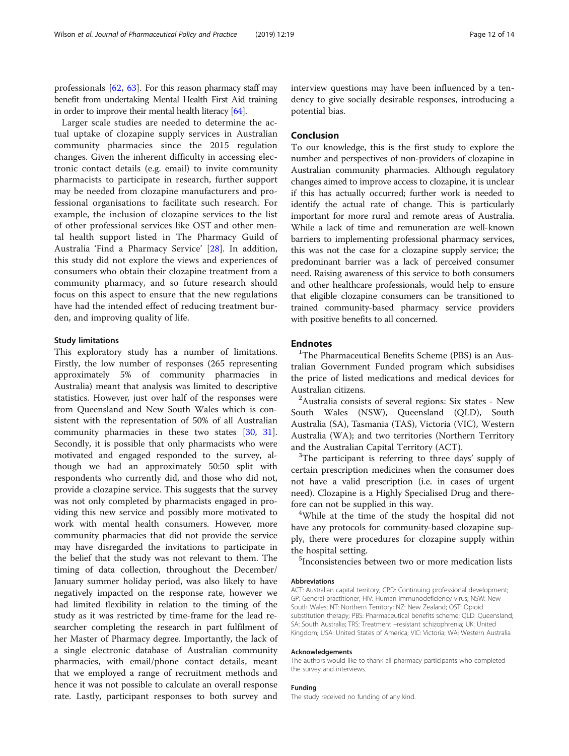professionals [\[62](#page-13-0), [63\]](#page-13-0). For this reason pharmacy staff may benefit from undertaking Mental Health First Aid training in order to improve their mental health literacy [\[64\]](#page-13-0).

Larger scale studies are needed to determine the actual uptake of clozapine supply services in Australian community pharmacies since the 2015 regulation changes. Given the inherent difficulty in accessing electronic contact details (e.g. email) to invite community pharmacists to participate in research, further support may be needed from clozapine manufacturers and professional organisations to facilitate such research. For example, the inclusion of clozapine services to the list of other professional services like OST and other mental health support listed in The Pharmacy Guild of Australia 'Find a Pharmacy Service' [[28\]](#page-12-0). In addition, this study did not explore the views and experiences of consumers who obtain their clozapine treatment from a community pharmacy, and so future research should focus on this aspect to ensure that the new regulations have had the intended effect of reducing treatment burden, and improving quality of life.

# Study limitations

This exploratory study has a number of limitations. Firstly, the low number of responses (265 representing approximately 5% of community pharmacies in Australia) meant that analysis was limited to descriptive statistics. However, just over half of the responses were from Queensland and New South Wales which is consistent with the representation of 50% of all Australian community pharmacies in these two states [\[30](#page-12-0), [31](#page-12-0)]. Secondly, it is possible that only pharmacists who were motivated and engaged responded to the survey, although we had an approximately 50:50 split with respondents who currently did, and those who did not, provide a clozapine service. This suggests that the survey was not only completed by pharmacists engaged in providing this new service and possibly more motivated to work with mental health consumers. However, more community pharmacies that did not provide the service may have disregarded the invitations to participate in the belief that the study was not relevant to them. The timing of data collection, throughout the December/ January summer holiday period, was also likely to have negatively impacted on the response rate, however we had limited flexibility in relation to the timing of the study as it was restricted by time-frame for the lead researcher completing the research in part fulfilment of her Master of Pharmacy degree. Importantly, the lack of a single electronic database of Australian community pharmacies, with email/phone contact details, meant that we employed a range of recruitment methods and hence it was not possible to calculate an overall response rate. Lastly, participant responses to both survey and

interview questions may have been influenced by a tendency to give socially desirable responses, introducing a potential bias.

# Conclusion

To our knowledge, this is the first study to explore the number and perspectives of non-providers of clozapine in Australian community pharmacies. Although regulatory changes aimed to improve access to clozapine, it is unclear if this has actually occurred; further work is needed to identify the actual rate of change. This is particularly important for more rural and remote areas of Australia. While a lack of time and remuneration are well-known barriers to implementing professional pharmacy services, this was not the case for a clozapine supply service; the predominant barrier was a lack of perceived consumer need. Raising awareness of this service to both consumers and other healthcare professionals, would help to ensure that eligible clozapine consumers can be transitioned to trained community-based pharmacy service providers with positive benefits to all concerned.

# **Endnotes**

<sup>1</sup>The Pharmaceutical Benefits Scheme (PBS) is an Australian Government Funded program which subsidises the price of listed medications and medical devices for Australian citizens. <sup>2</sup>

<sup>2</sup>Australia consists of several regions: Six states - New South Wales (NSW), Queensland (QLD), South Australia (SA), Tasmania (TAS), Victoria (VIC), Western Australia (WA); and two territories (Northern Territory and the Australian Capital Territory (ACT).

<sup>3</sup>The participant is referring to three days' supply of certain prescription medicines when the consumer does not have a valid prescription (i.e. in cases of urgent need). Clozapine is a Highly Specialised Drug and therefore can not be supplied in this way. <sup>4</sup>

<sup>4</sup>While at the time of the study the hospital did not have any protocols for community-based clozapine supply, there were procedures for clozapine supply within the hospital setting.

<sup>5</sup>Inconsistencies between two or more medication lists

#### Abbreviations

ACT: Australian capital territory; CPD: Continuing professional development; GP: General practitioner; HIV: Human immunodeficiency virus; NSW: New South Wales; NT: Northern Territory; NZ: New Zealand; OST: Opioid substitution therapy; PBS: Pharmaceutical benefits scheme; QLD: Queensland; SA: South Australia; TRS: Treatment –resistant schizophrenia; UK: United Kingdom; USA: United States of America; VIC: Victoria; WA: Western Australia

#### Acknowledgements

The authors would like to thank all pharmacy participants who completed the survey and interviews.

# Funding

The study received no funding of any kind.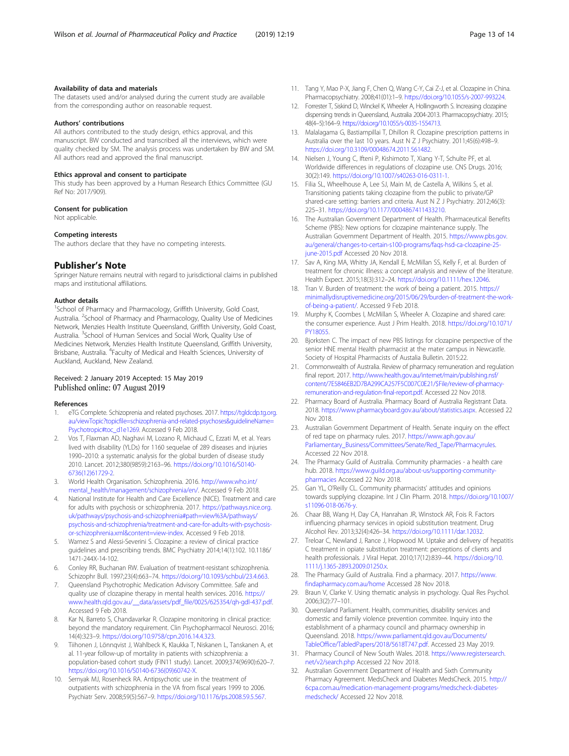# <span id="page-12-0"></span>Availability of data and materials

The datasets used and/or analysed during the current study are available from the corresponding author on reasonable request.

#### Authors' contributions

All authors contributed to the study design, ethics approval, and this manuscript. BW conducted and transcribed all the interviews, which were quality checked by SM. The analysis process was undertaken by BW and SM. All authors read and approved the final manuscript.

#### Ethics approval and consent to participate

This study has been approved by a Human Research Ethics Committee (GU Ref No: 2017/909).

# Consent for publication

Not applicable.

# Competing interests

The authors declare that they have no competing interests.

#### Publisher's Note

Springer Nature remains neutral with regard to jurisdictional claims in published maps and institutional affiliations.

#### Author details

<sup>1</sup>School of Pharmacy and Pharmacology, Griffith University, Gold Coast, Australia. <sup>2</sup>School of Pharmacy and Pharmacology, Quality Use of Medicines Network, Menzies Health Institute Queensland, Griffith University, Gold Coast, Australia. <sup>3</sup>School of Human Services and Social Work, Quality Use of Medicines Network, Menzies Health Institute Queensland, Griffith University, Brisbane, Australia. <sup>4</sup>Faculty of Medical and Health Sciences, University of Auckland, Auckland, New Zealand.

# Received: 2 January 2019 Accepted: 15 May 2019 Published online: 07 August 2019

#### References

- eTG Complete. Schizoprenia and related psychoses. 2017. [https://tgldcdp.tg.org.](https://tgldcdp.tg.org.au/viewTopic?topicfile=schizophrenia-and-related-psychoses&guidelineName=Psychotropic#toc_d1e1269) [au/viewTopic?topicfile=schizophrenia-and-related-psychoses&guidelineName=](https://tgldcdp.tg.org.au/viewTopic?topicfile=schizophrenia-and-related-psychoses&guidelineName=Psychotropic#toc_d1e1269) [Psychotropic#toc\\_d1e1269](https://tgldcdp.tg.org.au/viewTopic?topicfile=schizophrenia-and-related-psychoses&guidelineName=Psychotropic#toc_d1e1269). Accessed 9 Feb 2018.
- 2. Vos T, Flaxman AD, Naghavi M, Lozano R, Michaud C, Ezzati M, et al. Years lived with disability (YLDs) for 1160 sequelae of 289 diseases and injuries 1990–2010: a systematic analysis for the global burden of disease study 2010. Lancet. 2012;380(9859):2163–96. [https://doi.org/10.1016/S0140-](https://doi.org/10.1016/S0140-6736(12)61729-2) [6736\(12\)61729-2](https://doi.org/10.1016/S0140-6736(12)61729-2).
- 3. World Health Organisation. Schizophrenia. 2016. [http://www.who.int/](http://www.who.int/mental_health/management/schizophrenia/en/) [mental\\_health/management/schizophrenia/en/](http://www.who.int/mental_health/management/schizophrenia/en/). Accessed 9 Feb 2018.
- 4. National Institute for Health and Care Excellence (NICE). Treatment and care for adults with psychosis or schizophrenia. 2017. [https://pathways.nice.org.](https://pathways.nice.org.uk/pathways/psychosis-and-schizophrenia#path=view%3A/pathways/psychosis-and-schizophrenia/treatment-and-care-for-adults-with-psychosis-or-schizophrenia.xml&content=view-index) [uk/pathways/psychosis-and-schizophrenia#path=view%3A/pathways/](https://pathways.nice.org.uk/pathways/psychosis-and-schizophrenia#path=view%3A/pathways/psychosis-and-schizophrenia/treatment-and-care-for-adults-with-psychosis-or-schizophrenia.xml&content=view-index) [psychosis-and-schizophrenia/treatment-and-care-for-adults-with-psychosis](https://pathways.nice.org.uk/pathways/psychosis-and-schizophrenia#path=view%3A/pathways/psychosis-and-schizophrenia/treatment-and-care-for-adults-with-psychosis-or-schizophrenia.xml&content=view-index)[or-schizophrenia.xml&content=view-index.](https://pathways.nice.org.uk/pathways/psychosis-and-schizophrenia#path=view%3A/pathways/psychosis-and-schizophrenia/treatment-and-care-for-adults-with-psychosis-or-schizophrenia.xml&content=view-index) Accessed 9 Feb 2018.
- 5. Warnez S and Alessi-Severini S. Clozapine: a review of clinical practice guidelines and prescribing trends. BMC Psychiatry 2014;14(1):102. 10.1186/ 1471-244X-14-102.
- 6. Conley RR, Buchanan RW. Evaluation of treatment-resistant schizophrenia. Schizophr Bull. 1997;23(4):663–74. <https://doi.org/10.1093/schbul/23.4.663>.
- 7. Queensland Psychotrophic Medication Advisory Committee. Safe and quality use of clozapine therapy in mental health services. 2016. [https://](https://www.health.qld.gov.au/__data/assets/pdf_file/0025/625354/qh-gdl-437.pdf) [www.health.qld.gov.au/\\_\\_data/assets/pdf\\_file/0025/625354/qh-gdl-437.pdf.](https://www.health.qld.gov.au/__data/assets/pdf_file/0025/625354/qh-gdl-437.pdf) Accessed 9 Feb 2018.
- Kar N, Barreto S, Chandavarkar R. Clozapine monitoring in clinical practice: beyond the mandatory requirement. Clin Psychopharmacol Neurosci. 2016; 14(4):323–9. <https://doi.org/10.9758/cpn.2016.14.4.323>.
- 9. Tiihonen J, Lönnqvist J, Wahlbeck K, Klaukka T, Niskanen L, Tanskanen A, et al. 11-year follow-up of mortality in patients with schizophrenia: a population-based cohort study (FIN11 study). Lancet. 2009;374(9690):620–7. [https://doi.org/10.1016/S0140-6736\(09\)60742-X](https://doi.org/10.1016/S0140-6736(09)60742-X).
- 10. Sernyak MJ, Rosenheck RA. Antipsychotic use in the treatment of outpatients with schizophrenia in the VA from fiscal years 1999 to 2006. Psychiatr Serv. 2008;59(5):567–9. <https://doi.org/10.1176/ps.2008.59.5.567>.
- 11. Tang Y, Mao P-X, Jiang F, Chen Q, Wang C-Y, Cai Z-J, et al. Clozapine in China. Pharmacopsychiatry. 2008;41(01):1–9. <https://doi.org/10.1055/s-2007-993224>.
- 12. Forrester T, Siskind D, Winckel K, Wheeler A, Hollingworth S. Increasing clozapine dispensing trends in Queensland, Australia 2004-2013. Pharmacopsychiatry. 2015; 48(4–5):164–9. [https://doi.org/10.1055/s-0035-1554713.](https://doi.org/10.1055/s-0035-1554713)
- 13. Malalagama G, Bastiampillai T, Dhillon R. Clozapine prescription patterns in Australia over the last 10 years. Aust N Z J Psychiatry. 2011;45(6):498–9. [https://doi.org/10.3109/00048674.2011.561482.](https://doi.org/10.3109/00048674.2011.561482)
- 14. Nielsen J, Young C, Ifteni P, Kishimoto T, Xiang Y-T, Schulte PF, et al. Worldwide differences in regulations of clozapine use. CNS Drugs. 2016; 30(2):149. [https://doi.org/10.1007/s40263-016-0311-1.](https://doi.org/10.1007/s40263-016-0311-1)
- 15. Filia SL, Wheelhouse A, Lee SJ, Main M, de Castella A, Wilkins S, et al. Transitioning patients taking clozapine from the public to private/GP shared-care setting: barriers and criteria. Aust N Z J Psychiatry. 2012;46(3): 225–31. [https://doi.org/10.1177/0004867411433210.](https://doi.org/10.1177/0004867411433210)
- 16. The Australian Government Department of Health. Pharmaceutical Benefits Scheme (PBS): New options for clozapine maintenance supply. The Australian Government Department of Health. 2015. [https://www.pbs.gov.](https://www.pbs.gov.au/general/changes-to-certain-s100-programs/faqs-hsd-ca-clozapine-25-june-2015.pdf) [au/general/changes-to-certain-s100-programs/faqs-hsd-ca-clozapine-25](https://www.pbs.gov.au/general/changes-to-certain-s100-programs/faqs-hsd-ca-clozapine-25-june-2015.pdf) [june-2015.pdf](https://www.pbs.gov.au/general/changes-to-certain-s100-programs/faqs-hsd-ca-clozapine-25-june-2015.pdf) Accessed 20 Nov 2018.
- 17. Sav A, King MA, Whitty JA, Kendall E, McMillan SS, Kelly F, et al. Burden of treatment for chronic illness: a concept analysis and review of the literature. Health Expect. 2015;18(3):312–24. <https://doi.org/10.1111/hex.12046>.
- 18. Tran V. Burden of treatment: the work of being a patient. 2015. [https://](https://minimallydisruptivemedicine.org/2015/06/29/burden-of-treatment-the-work-of-being-a-patient/) [minimallydisruptivemedicine.org/2015/06/29/burden-of-treatment-the-work](https://minimallydisruptivemedicine.org/2015/06/29/burden-of-treatment-the-work-of-being-a-patient/)[of-being-a-patient/.](https://minimallydisruptivemedicine.org/2015/06/29/burden-of-treatment-the-work-of-being-a-patient/) Accessed 9 Feb 2018.
- 19. Murphy K, Coombes I, McMillan S, Wheeler A. Clozapine and shared care: the consumer experience. Aust J Prim Health. 2018. [https://doi.org/10.1071/](https://doi.org/10.1071/PY18055) [PY18055.](https://doi.org/10.1071/PY18055)
- 20. Bjorksten C. The impact of new PBS listings for clozapine perspective of the senior HNE mental Health pharmacist at the mater campus in Newcastle. Society of Hospital Pharmacists of Austalia Bulletin. 2015:22.
- 21. Commonwealth of Australia. Review of pharmacy remuneration and regulation final report. 2017. [http://www.health.gov.au/internet/main/publishing.nsf/](http://www.health.gov.au/internet/main/publishing.nsf/content/7E5846EB2D7BA299CA257F5C007C0E21/File/review-of-pharmacy-remuneration-and-regulation-final-report.pdf) [content/7E5846EB2D7BA299CA257F5C007C0E21/\\$File/review-of-pharmacy](http://www.health.gov.au/internet/main/publishing.nsf/content/7E5846EB2D7BA299CA257F5C007C0E21/File/review-of-pharmacy-remuneration-and-regulation-final-report.pdf)[remuneration-and-regulation-final-report.pdf.](http://www.health.gov.au/internet/main/publishing.nsf/content/7E5846EB2D7BA299CA257F5C007C0E21/File/review-of-pharmacy-remuneration-and-regulation-final-report.pdf) Accessed 22 Nov 2018.
- 22. Pharmacy Board of Australia. Pharmacy Board of Australia Registrant Data. 2018. [https://www.pharmacyboard.gov.au/about/statistics.aspx.](https://www.pharmacyboard.gov.au/about/statistics.aspx) Accessed 22 Nov 2018.
- 23. Australian Government Department of Health. Senate inquiry on the effect of red tape on pharmacy rules. 2017. [https://www.aph.gov.au/](https://www.aph.gov.au/Parliamentary_Business/Committees/Senate/Red_Tape/Pharmacyrules) [Parliamentary\\_Business/Committees/Senate/Red\\_Tape/Pharmacyrules](https://www.aph.gov.au/Parliamentary_Business/Committees/Senate/Red_Tape/Pharmacyrules). Accessed 22 Nov 2018.
- 24. The Pharmacy Guild of Australia. Community pharmacies a health care hub. 2018. [https://www.guild.org.au/about-us/supporting-community](https://www.guild.org.au/about-us/supporting-community-pharmacies)[pharmacies](https://www.guild.org.au/about-us/supporting-community-pharmacies) Accessed 22 Nov 2018.
- 25. Gan YL, O'Reilly CL. Community pharmacists' attitudes and opinions towards supplying clozapine. Int J Clin Pharm. 2018. [https://doi.org/10.1007/](https://doi.org/10.1007/s11096-018-0676-y) [s11096-018-0676-y.](https://doi.org/10.1007/s11096-018-0676-y)
- 26. Chaar BB, Wang H, Day CA, Hanrahan JR, Winstock AR, Fois R. Factors influencing pharmacy services in opioid substitution treatment. Drug Alcohol Rev. 2013;32(4):426–34. <https://doi.org/10.1111/dar.12032>.
- 27. Treloar C, Newland J, Rance J, Hopwood M. Uptake and delivery of hepatitis C treatment in opiate substitution treatment: perceptions of clients and health professionals. J Viral Hepat. 2010;17(12):839–44. [https://doi.org/10.](https://doi.org/10.1111/j.1365-2893.2009.01250.x) [1111/j.1365-2893.2009.01250.x](https://doi.org/10.1111/j.1365-2893.2009.01250.x).
- 28. The Pharmacy Guild of Australia. Find a pharmacy. 2017. [https://www.](https://www.findapharmacy.com.au/home) [findapharmacy.com.au/home](https://www.findapharmacy.com.au/home) Accessed 28 Nov 2018.
- 29. Braun V, Clarke V. Using thematic analysis in psychology. Qual Res Psychol. 2006;3(2):77–101.
- 30. Queensland Parliament. Health, communities, disability services and domestic and family violence prevention commitee. Inquiry into the establishment of a pharmacy council and pharmacy ownership in Queensland. 2018. [https://www.parliament.qld.gov.au/Documents/](https://www.parliament.qld.gov.au/Documents/TableOffice/TabledPapers/2018/5618T747.pdf) [TableOffice/TabledPapers/2018/5618T747.pdf](https://www.parliament.qld.gov.au/Documents/TableOffice/TabledPapers/2018/5618T747.pdf). Accessed 23 May 2019.
- 31. Pharmacy Council of New South Wales. 2018. [https://www.registersearch.](https://www.registersearch.net/v2/search.php) [net/v2/search.php](https://www.registersearch.net/v2/search.php) Accessed 22 Nov 2018.
- 32. Australian Government Department of Health and Sixth Community Pharmacy Agreement. MedsCheck and Diabetes MedsCheck. 2015. [http://](http://6cpa.com.au/medication-management-programs/medscheck-diabetes-medscheck/) [6cpa.com.au/medication-management-programs/medscheck-diabetes](http://6cpa.com.au/medication-management-programs/medscheck-diabetes-medscheck/)[medscheck/](http://6cpa.com.au/medication-management-programs/medscheck-diabetes-medscheck/) Accessed 22 Nov 2018.